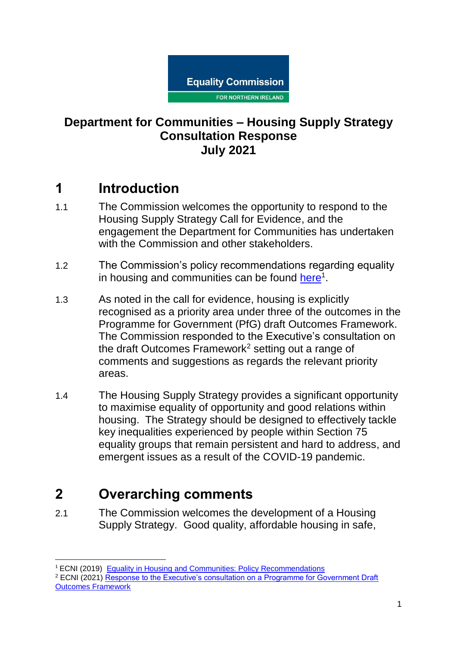

#### **Department for Communities – Housing Supply Strategy Consultation Response July 2021**

## **1 Introduction**

- 1.1 The Commission welcomes the opportunity to respond to the Housing Supply Strategy Call for Evidence, and the engagement the Department for Communities has undertaken with the Commission and other stakeholders.
- 1.2 The Commission's policy recommendations regarding equality in housing and communities can be found [here](https://www.equalityni.org/ECNI/media/ECNI/Publications/Delivering%20Equality/HousingPolicyPositions-Full.pdf)<sup>1</sup>.
- 1.3 As noted in the call for evidence, housing is explicitly recognised as a priority area under three of the outcomes in the Programme for Government (PfG) draft Outcomes Framework. The Commission responded to the Executive's consultation on the draft Outcomes Framework<sup>2</sup> setting out a range of comments and suggestions as regards the relevant priority areas.
- 1.4 The Housing Supply Strategy provides a significant opportunity to maximise equality of opportunity and good relations within housing. The Strategy should be designed to effectively tackle key inequalities experienced by people within Section 75 equality groups that remain persistent and hard to address, and emergent issues as a result of the COVID-19 pandemic.

# **2 Overarching comments**

.

2.1 The Commission welcomes the development of a Housing Supply Strategy. Good quality, affordable housing in safe,

<sup>&</sup>lt;sup>1</sup> ECNI (2019) [Equality in Housing and Communities: Policy Recommendations](https://www.equalityni.org/ECNI/media/ECNI/Publications/Delivering%20Equality/HousingPolicyPositions-Full.pdf) <sup>2</sup> ECNI (2021[\) Response to the Executive's consultation on a Programme for Government Draft](https://www.equalityni.org/ECNI/media/ECNI/Consultation%20Responses/2021/NIO-PfGOutcomesFramework.pdf)  [Outcomes Framework](https://www.equalityni.org/ECNI/media/ECNI/Consultation%20Responses/2021/NIO-PfGOutcomesFramework.pdf)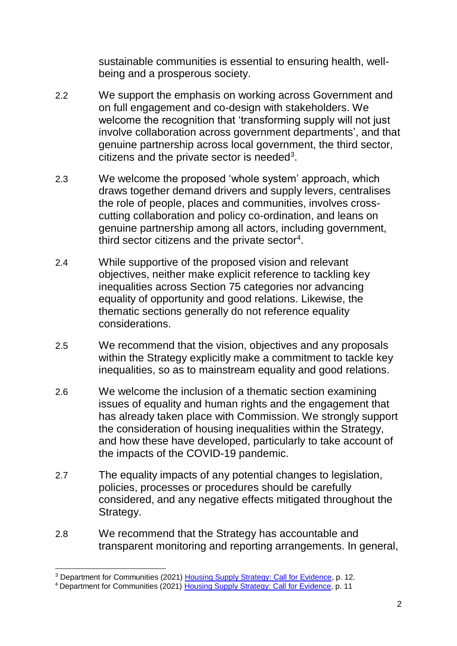sustainable communities is essential to ensuring health, wellbeing and a prosperous society.

- 2.2 We support the emphasis on working across Government and on full engagement and co-design with stakeholders. We welcome the recognition that 'transforming supply will not just involve collaboration across government departments', and that genuine partnership across local government, the third sector, citizens and the private sector is needed<sup>3</sup>.
- 2.3 We welcome the proposed 'whole system' approach, which draws together demand drivers and supply levers, centralises the role of people, places and communities, involves crosscutting collaboration and policy co-ordination, and leans on genuine partnership among all actors, including government, third sector citizens and the private sector<sup>4</sup>.
- 2.4 While supportive of the proposed vision and relevant objectives, neither make explicit reference to tackling key inequalities across Section 75 categories nor advancing equality of opportunity and good relations. Likewise, the thematic sections generally do not reference equality considerations.
- 2.5 We recommend that the vision, objectives and any proposals within the Strategy explicitly make a commitment to tackle key inequalities, so as to mainstream equality and good relations.
- 2.6 We welcome the inclusion of a thematic section examining issues of equality and human rights and the engagement that has already taken place with Commission. We strongly support the consideration of housing inequalities within the Strategy, and how these have developed, particularly to take account of the impacts of the COVID-19 pandemic.
- 2.7 The equality impacts of any potential changes to legislation, policies, processes or procedures should be carefully considered, and any negative effects mitigated throughout the Strategy.
- 2.8 We recommend that the Strategy has accountable and transparent monitoring and reporting arrangements. In general,

<sup>.</sup> <sup>3</sup> Department for Communities (2021) [Housing Supply Strategy: Call for Evidence,](https://www.communities-ni.gov.uk/consultations/consultation-new-housing-supply-strategy-call-evidence) p. 12.

<sup>4</sup> Department for Communities (2021) [Housing Supply Strategy: Call for Evidence,](https://www.communities-ni.gov.uk/consultations/consultation-new-housing-supply-strategy-call-evidence) p. 11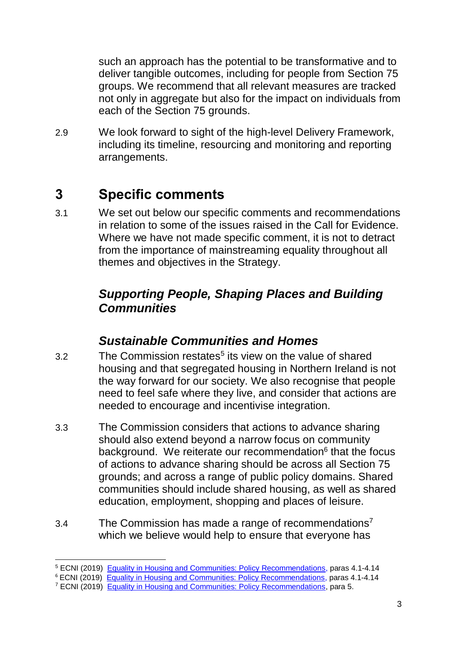such an approach has the potential to be transformative and to deliver tangible outcomes, including for people from Section 75 groups. We recommend that all relevant measures are tracked not only in aggregate but also for the impact on individuals from each of the Section 75 grounds.

2.9 We look forward to sight of the high-level Delivery Framework, including its timeline, resourcing and monitoring and reporting arrangements.

## **3 Specific comments**

3.1 We set out below our specific comments and recommendations in relation to some of the issues raised in the Call for Evidence. Where we have not made specific comment, it is not to detract from the importance of mainstreaming equality throughout all themes and objectives in the Strategy.

### *Supporting People, Shaping Places and Building Communities*

#### *Sustainable Communities and Homes*

- 3.2 The Commission restates<sup>5</sup> its view on the value of shared housing and that segregated housing in Northern Ireland is not the way forward for our society. We also recognise that people need to feel safe where they live, and consider that actions are needed to encourage and incentivise integration.
- 3.3 The Commission considers that actions to advance sharing should also extend beyond a narrow focus on community background. We reiterate our recommendation<sup>6</sup> that the focus of actions to advance sharing should be across all Section 75 grounds; and across a range of public policy domains. Shared communities should include shared housing, as well as shared education, employment, shopping and places of leisure.
- 3.4 The Commission has made a range of recommendations<sup>7</sup> which we believe would help to ensure that everyone has

<sup>.</sup> <sup>5</sup> ECNI (2019) [Equality in Housing and Communities: Policy Recommendations,](https://www.equalityni.org/ECNI/media/ECNI/Publications/Delivering%20Equality/HousingPolicyPositions-Full.pdf) paras 4.1-4.14

<sup>&</sup>lt;sup>6</sup> ECNI (2019) [Equality in Housing and Communities: Policy Recommendations,](https://www.equalityni.org/ECNI/media/ECNI/Publications/Delivering%20Equality/HousingPolicyPositions-Full.pdf) paras 4.1-4.14

<sup>7</sup> ECNI (2019) [Equality in Housing and Communities: Policy Recommendations,](https://www.equalityni.org/ECNI/media/ECNI/Publications/Delivering%20Equality/HousingPolicyPositions-Full.pdf) para 5.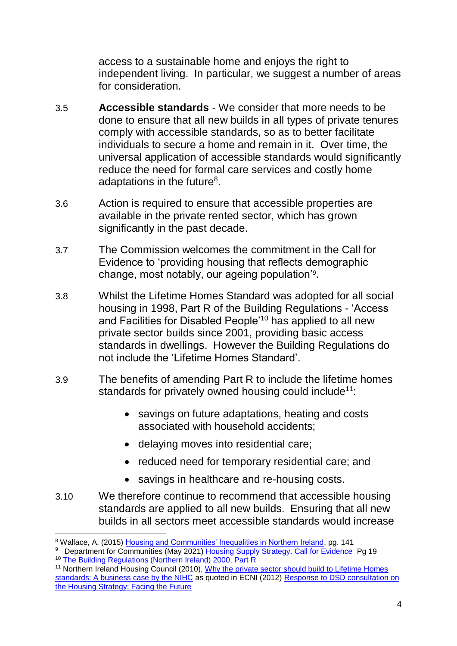access to a sustainable home and enjoys the right to independent living. In particular, we suggest a number of areas for consideration.

- 3.5 **Accessible standards** We consider that more needs to be done to ensure that all new builds in all types of private tenures comply with accessible standards, so as to better facilitate individuals to secure a home and remain in it. Over time, the universal application of accessible standards would significantly reduce the need for formal care services and costly home adaptations in the future $8$ .
- 3.6 Action is required to ensure that accessible properties are available in the private rented sector, which has grown significantly in the past decade.
- 3.7 The Commission welcomes the commitment in the Call for Evidence to 'providing housing that reflects demographic change, most notably, our ageing population'<sup>9</sup> .
- 3.8 Whilst the Lifetime Homes Standard was adopted for all social housing in 1998, Part R of the Building Regulations - 'Access and Facilities for Disabled People'<sup>10</sup> has applied to all new private sector builds since 2001, providing basic access standards in dwellings. However the Building Regulations do not include the 'Lifetime Homes Standard'.
- 3.9 The benefits of amending Part R to include the lifetime homes standards for privately owned housing could include<sup>11</sup>:
	- savings on future adaptations, heating and costs associated with household accidents;
	- delaying moves into residential care;
	- reduced need for temporary residential care; and
	- savings in healthcare and re-housing costs.
- 3.10 We therefore continue to recommend that accessible housing standards are applied to all new builds. Ensuring that all new builds in all sectors meet accessible standards would increase

<sup>&</sup>lt;sup>8</sup> Wallace, A. (2015) <u>Housing and Communities' Inequalities in Northern Ireland</u>, pg. 141<br><sup>9</sup> Department for Communities (May 2021) <u>Housing Supply Strategy. Call for Evidence.</u> Pg 19

<sup>10</sup> [The Building Regulations \(Northern Ireland\) 2000, Part R](http://www.planningni.gov.uk/index/policy/supplementary_guidance/dcans/dcan11_draft/dcan11_draft_legislation/dcan11_draft_legislation4.htm)

<sup>&</sup>lt;sup>11</sup> Northern Ireland Housing Council (2010), <u>Why the private sector should build to Lifetime Homes</u> [standards: A business case by the NIHC](http://www.nihousingcouncil.org/CMSPages/GetFile.aspx?guid=95e1f58e-1f51-4cfc-823b-921ce882db8f) as quoted in ECNI (2012) Response to DSD consultation on [the Housing Strategy: Facing the Future](http://www.equalityni.org/ECNI/media/ECNI/Consultation%20Responses/2012/DSDHousingStrategyResponseFacingtheFuture2012.pdf)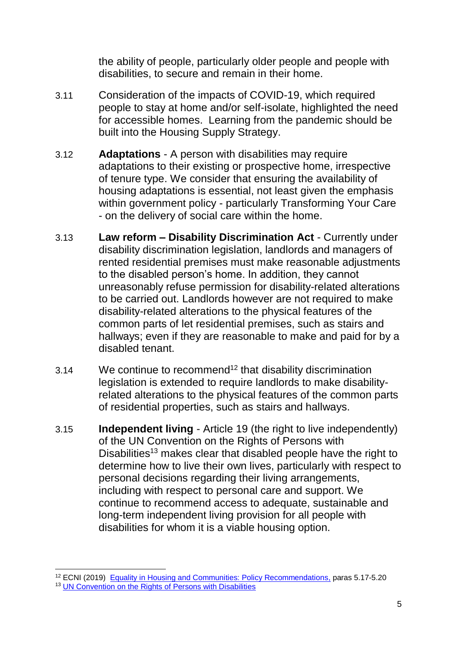the ability of people, particularly older people and people with disabilities, to secure and remain in their home.

- 3.11 Consideration of the impacts of COVID-19, which required people to stay at home and/or self-isolate, highlighted the need for accessible homes. Learning from the pandemic should be built into the Housing Supply Strategy.
- 3.12 **Adaptations** A person with disabilities may require adaptations to their existing or prospective home, irrespective of tenure type. We consider that ensuring the availability of housing adaptations is essential, not least given the emphasis within government policy - particularly Transforming Your Care - on the delivery of social care within the home.
- 3.13 **Law reform – Disability Discrimination Act** Currently under disability discrimination legislation, landlords and managers of rented residential premises must make reasonable adjustments to the disabled person's home. In addition, they cannot unreasonably refuse permission for disability-related alterations to be carried out. Landlords however are not required to make disability-related alterations to the physical features of the common parts of let residential premises, such as stairs and hallways; even if they are reasonable to make and paid for by a disabled tenant.
- 3.14 We continue to recommend<sup>12</sup> that disability discrimination legislation is extended to require landlords to make disabilityrelated alterations to the physical features of the common parts of residential properties, such as stairs and hallways.
- 3.15 **Independent living** Article 19 (the right to live independently) of the UN Convention on the Rights of Persons with Disabilities<sup>13</sup> makes clear that disabled people have the right to determine how to live their own lives, particularly with respect to personal decisions regarding their living arrangements, including with respect to personal care and support. We continue to recommend access to adequate, sustainable and long-term independent living provision for all people with disabilities for whom it is a viable housing option.

<sup>&</sup>lt;sup>12</sup> ECNI (2019) [Equality in Housing and Communities: Policy Recommendations,](https://www.equalityni.org/ECNI/media/ECNI/Publications/Delivering%20Equality/HousingPolicyPositions-Full.pdf) paras 5.17-5.20

<sup>&</sup>lt;sup>13</sup> [UN Convention on the Rights of Persons with Disabilities](https://www.equalityni.org/ECNI/media/ECNI/Publications/Delivering%20Equality/UNCRPDOptionalProtocol.pdf)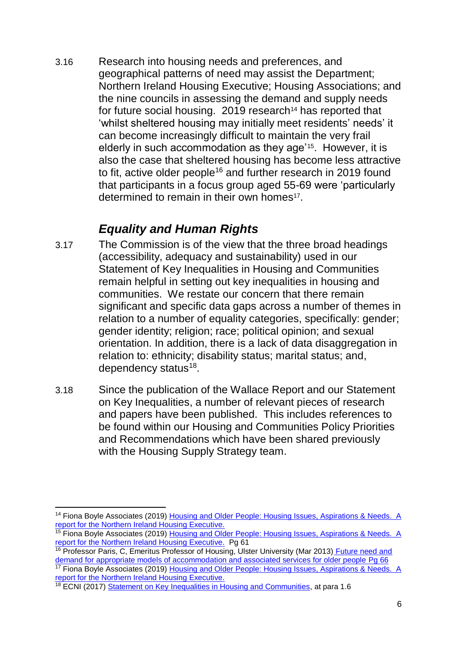3.16 Research into housing needs and preferences, and geographical patterns of need may assist the Department; Northern Ireland Housing Executive; Housing Associations; and the nine councils in assessing the demand and supply needs for future social housing. 2019 research<sup>14</sup> has reported that 'whilst sheltered housing may initially meet residents' needs' it can become increasingly difficult to maintain the very frail elderly in such accommodation as they age'15. However, it is also the case that sheltered housing has become less attractive to fit, active older people<sup>16</sup> and further research in 2019 found that participants in a focus group aged 55-69 were 'particularly determined to remain in their own homes<sup>17</sup>.

### *Equality and Human Rights*

- 3.17 The Commission is of the view that the three broad headings (accessibility, adequacy and sustainability) used in our Statement of Key Inequalities in Housing and Communities remain helpful in setting out key inequalities in housing and communities. We restate our concern that there remain significant and specific data gaps across a number of themes in relation to a number of equality categories, specifically: gender; gender identity; religion; race; political opinion; and sexual orientation. In addition, there is a lack of data disaggregation in relation to: ethnicity; disability status; marital status; and, dependency status<sup>18</sup>.
- 3.18 Since the publication of the Wallace Report and our Statement on Key Inequalities, a number of relevant pieces of research and papers have been published. This includes references to be found within our Housing and Communities Policy Priorities and Recommendations which have been shared previously with the Housing Supply Strategy team.

<sup>17</sup> Fiona Boyle Associates (2019) Housing and Older People: Housing Issues, Aspirations & Needs. A [report for the Northern Ireland Housing Executive.](file://///equality.local/root/Data1/PUBLIC%20POLICY/ConsultationResponses/B_ConsultationsAndResponses/DfC/2021-DFC-HousingSupplyStrategy/2-ECNI-WorkingDocs/The%20impact%20of%20COVID-19%20requiring%20people%20to%20stay%20at%20home%20and/or%20self-isolate%20has%20further%20highlighted%20the%20need%20for%20accessible%20homes.)

<sup>1</sup> <sup>14</sup> Fiona Boyle Associates (2019) Housing and Older People: Housing Issues, Aspirations & Needs. A [report for the Northern Ireland Housing Executive.](file://///equality.local/root/Data1/PUBLIC%20POLICY/ConsultationResponses/B_ConsultationsAndResponses/DfC/2021-DFC-HousingSupplyStrategy/2-ECNI-WorkingDocs/The%20impact%20of%20COVID-19%20requiring%20people%20to%20stay%20at%20home%20and/or%20self-isolate%20has%20further%20highlighted%20the%20need%20for%20accessible%20homes.)

<sup>&</sup>lt;sup>15</sup> Fiona Boyle Associates (2019) Housing and Older People: Housing Issues, Aspirations & Needs. A [report for the Northern Ireland Housing Executive.](file://///equality.local/root/Data1/PUBLIC%20POLICY/ConsultationResponses/B_ConsultationsAndResponses/DfC/2021-DFC-HousingSupplyStrategy/2-ECNI-WorkingDocs/The%20impact%20of%20COVID-19%20requiring%20people%20to%20stay%20at%20home%20and/or%20self-isolate%20has%20further%20highlighted%20the%20need%20for%20accessible%20homes.) Pg 61

<sup>&</sup>lt;sup>16</sup> Professor Paris, C, Emeritus Professor of Housing, Ulster University (Mar 2013) Future need and [demand for appropriate models of accommodation and associated services for older people](http://www.nihe.gov.uk/research_on_the_future_housing_aspirations_of_older_people.pdf) Pg 66

<sup>&</sup>lt;sup>18</sup> ECNI (2017) [Statement on Key Inequalities in Housing and Communities,](https://www.equalityni.org/ECNI/media/ECNI/Publications/Delivering%20Equality/HousingCommunities-KeyInequalitiesStatement.pdf) at para 1.6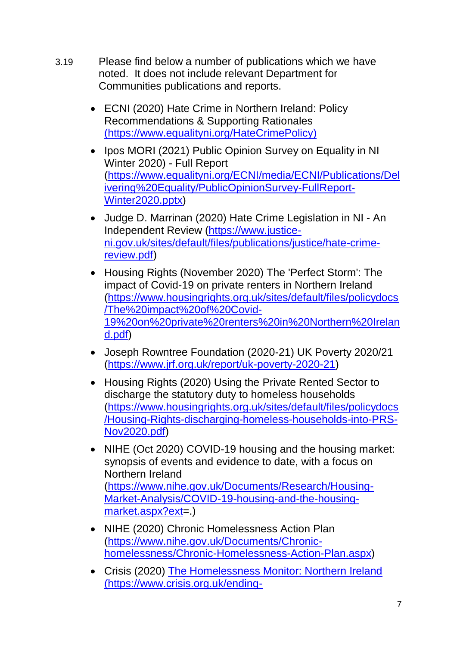- 3.19 Please find below a number of publications which we have noted. It does not include relevant Department for Communities publications and reports.
	- ECNI (2020) Hate Crime in Northern Ireland: Policy [Recommendations & Supporting Rationales](Hate%20Crime%20in%20Northern%20Ireland:%20Policy%20Recommendations%20&%20Supporting%20Rationales%20(https:/www.equalityni.org/HateCrimePolicy)) [\(https://www.equalityni.org/HateCrimePolicy\)](Hate%20Crime%20in%20Northern%20Ireland:%20Policy%20Recommendations%20&%20Supporting%20Rationales%20(https:/www.equalityni.org/HateCrimePolicy))
	- Ipos MORI (2021) Public Opinion Survey on Equality in NI Winter 2020) - Full Report [\(https://www.equalityni.org/ECNI/media/ECNI/Publications/Del](https://www.equalityni.org/ECNI/media/ECNI/Publications/Delivering%20Equality/PublicOpinionSurvey-FullReport-Winter2020.pptx) [ivering%20Equality/PublicOpinionSurvey-FullReport-](https://www.equalityni.org/ECNI/media/ECNI/Publications/Delivering%20Equality/PublicOpinionSurvey-FullReport-Winter2020.pptx)[Winter2020.pptx\)](https://www.equalityni.org/ECNI/media/ECNI/Publications/Delivering%20Equality/PublicOpinionSurvey-FullReport-Winter2020.pptx)
	- Judge D. Marrinan (2020) [Hate Crime Legislation in NI -](https://www.justice-ni.gov.uk/sites/default/files/publications/justice/hate-crime-review.pdf) An [Independent Review](https://www.justice-ni.gov.uk/sites/default/files/publications/justice/hate-crime-review.pdf) [\(https://www.justice](https://www.justice-ni.gov.uk/sites/default/files/publications/justice/hate-crime-review.pdf)[ni.gov.uk/sites/default/files/publications/justice/hate-crime](https://www.justice-ni.gov.uk/sites/default/files/publications/justice/hate-crime-review.pdf)[review.pdf\)](https://www.justice-ni.gov.uk/sites/default/files/publications/justice/hate-crime-review.pdf)
	- Housing Rights (November 2020) [The 'Perfect Storm': The](https://www.housingrights.org.uk/sites/default/files/policydocs/The%20impact%20of%20Covid-19%20on%20private%20renters%20in%20Northern%20Ireland.pdf)  [impact of Covid-19 on private renters in Northern Ireland](https://www.housingrights.org.uk/sites/default/files/policydocs/The%20impact%20of%20Covid-19%20on%20private%20renters%20in%20Northern%20Ireland.pdf) [\(https://www.housingrights.org.uk/sites/default/files/policydocs](https://www.housingrights.org.uk/sites/default/files/policydocs/The%20impact%20of%20Covid-19%20on%20private%20renters%20in%20Northern%20Ireland.pdf) [/The%20impact%20of%20Covid-](https://www.housingrights.org.uk/sites/default/files/policydocs/The%20impact%20of%20Covid-19%20on%20private%20renters%20in%20Northern%20Ireland.pdf)[19%20on%20private%20renters%20in%20Northern%20Irelan](https://www.housingrights.org.uk/sites/default/files/policydocs/The%20impact%20of%20Covid-19%20on%20private%20renters%20in%20Northern%20Ireland.pdf) [d.pdf\)](https://www.housingrights.org.uk/sites/default/files/policydocs/The%20impact%20of%20Covid-19%20on%20private%20renters%20in%20Northern%20Ireland.pdf)
	- Joseph Rowntree Foundation (2020-21) [UK Poverty 2020/21](https://www.jrf.org.uk/report/uk-poverty-2020-21) [\(https://www.jrf.org.uk/report/uk-poverty-2020-21\)](https://www.jrf.org.uk/report/uk-poverty-2020-21)
	- Housing Rights (2020) Using the Private Rented Sector to [discharge the statutory duty to homeless households](https://www.housingrights.org.uk/sites/default/files/policydocs/Housing-Rights-discharging-homeless-households-into-PRS-Nov2020.pdf) [\(https://www.housingrights.org.uk/sites/default/files/policydocs](https://www.housingrights.org.uk/sites/default/files/policydocs/Housing-Rights-discharging-homeless-households-into-PRS-Nov2020.pdf) [/Housing-Rights-discharging-homeless-households-into-PRS-](https://www.housingrights.org.uk/sites/default/files/policydocs/Housing-Rights-discharging-homeless-households-into-PRS-Nov2020.pdf)[Nov2020.pdf\)](https://www.housingrights.org.uk/sites/default/files/policydocs/Housing-Rights-discharging-homeless-households-into-PRS-Nov2020.pdf)
	- NIHE (Oct 2020) COVID-19 housing and the housing market: [synopsis of events and evidence to date, with a focus on](https://www.nihe.gov.uk/Documents/Research/Housing-Market-Analysis/COVID-19-housing-and-the-housing-market.aspx?ext=.)  [Northern Ireland](https://www.nihe.gov.uk/Documents/Research/Housing-Market-Analysis/COVID-19-housing-and-the-housing-market.aspx?ext=.) [\(https://www.nihe.gov.uk/Documents/Research/Housing-](https://www.nihe.gov.uk/Documents/Research/Housing-Market-Analysis/COVID-19-housing-and-the-housing-market.aspx?ext)[Market-Analysis/COVID-19-housing-and-the-housing](https://www.nihe.gov.uk/Documents/Research/Housing-Market-Analysis/COVID-19-housing-and-the-housing-market.aspx?ext)[market.aspx?ext=](https://www.nihe.gov.uk/Documents/Research/Housing-Market-Analysis/COVID-19-housing-and-the-housing-market.aspx?ext).)
	- NIHE (2020) Chronic Homelessness Action Plan [\(https://www.nihe.gov.uk/Documents/Chronic](https://www.nihe.gov.uk/Documents/Chronic-homelessness/Chronic-Homelessness-Action-Plan.aspx)[homelessness/Chronic-Homelessness-Action-Plan.aspx\)](https://www.nihe.gov.uk/Documents/Chronic-homelessness/Chronic-Homelessness-Action-Plan.aspx)
	- Crisis (2020) [The Homelessness Monitor: Northern Ireland](The%20Homelessness%20Monitor:%20Northern%20Ireland%20() [\(](The%20Homelessness%20Monitor:%20Northern%20Ireland%20()[https://www.crisis.org.uk/ending-](https://www.crisis.org.uk/ending-homelessness/homelessness-knowledge-hub/homelessness-monitor/northern-ireland/the-homelessness-monitor-northern-ireland-2020/)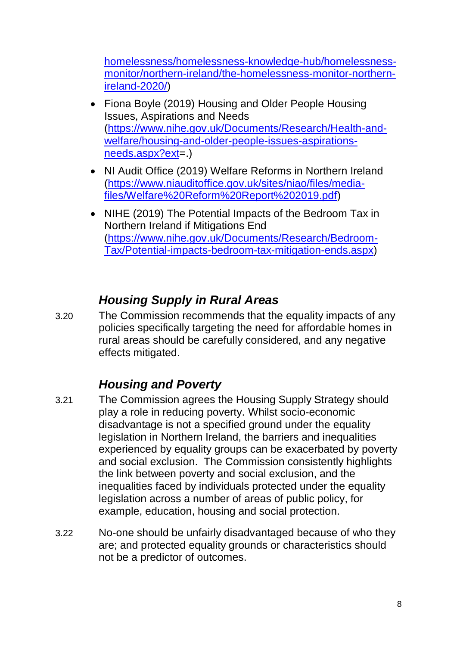[homelessness/homelessness-knowledge-hub/homelessness](https://www.crisis.org.uk/ending-homelessness/homelessness-knowledge-hub/homelessness-monitor/northern-ireland/the-homelessness-monitor-northern-ireland-2020/)[monitor/northern-ireland/the-homelessness-monitor-northern](https://www.crisis.org.uk/ending-homelessness/homelessness-knowledge-hub/homelessness-monitor/northern-ireland/the-homelessness-monitor-northern-ireland-2020/)[ireland-2020/\)](https://www.crisis.org.uk/ending-homelessness/homelessness-knowledge-hub/homelessness-monitor/northern-ireland/the-homelessness-monitor-northern-ireland-2020/)

- Fiona Boyle (2019) Housing and Older People Housing [Issues, Aspirations and Needs](https://www.nihe.gov.uk/Documents/Research/Health-and-welfare/housing-and-older-people-issues-aspirations-needs.aspx?ext=.) [\(https://www.nihe.gov.uk/Documents/Research/Health-and](https://www.nihe.gov.uk/Documents/Research/Health-and-welfare/housing-and-older-people-issues-aspirations-needs.aspx?ext)[welfare/housing-and-older-people-issues-aspirations](https://www.nihe.gov.uk/Documents/Research/Health-and-welfare/housing-and-older-people-issues-aspirations-needs.aspx?ext)[needs.aspx?ext=](https://www.nihe.gov.uk/Documents/Research/Health-and-welfare/housing-and-older-people-issues-aspirations-needs.aspx?ext).)
- NI Audit Office (2019) [Welfare Reforms in Northern Ireland](https://www.niauditoffice.gov.uk/sites/niao/files/media-files/Welfare%20Reform%20Report%202019.pdf) [\(https://www.niauditoffice.gov.uk/sites/niao/files/media](https://www.niauditoffice.gov.uk/sites/niao/files/media-files/Welfare%20Reform%20Report%202019.pdf)[files/Welfare%20Reform%20Report%202019.pdf\)](https://www.niauditoffice.gov.uk/sites/niao/files/media-files/Welfare%20Reform%20Report%202019.pdf)
- NIHE (2019) The Potential Impacts of the Bedroom Tax in [Northern Ireland if Mitigations End](https://www.nihe.gov.uk/Documents/Research/Bedroom-Tax/Potential-impacts-bedroom-tax-mitigation-ends.aspx) [\(https://www.nihe.gov.uk/Documents/Research/Bedroom-](https://www.nihe.gov.uk/Documents/Research/Bedroom-Tax/Potential-impacts-bedroom-tax-mitigation-ends.aspx)[Tax/Potential-impacts-bedroom-tax-mitigation-ends.aspx\)](https://www.nihe.gov.uk/Documents/Research/Bedroom-Tax/Potential-impacts-bedroom-tax-mitigation-ends.aspx)

## *Housing Supply in Rural Areas*

3.20 The Commission recommends that the equality impacts of any policies specifically targeting the need for affordable homes in rural areas should be carefully considered, and any negative effects mitigated.

## *Housing and Poverty*

- 3.21 The Commission agrees the Housing Supply Strategy should play a role in reducing poverty. Whilst socio-economic disadvantage is not a specified ground under the equality legislation in Northern Ireland, the barriers and inequalities experienced by equality groups can be exacerbated by poverty and social exclusion. The Commission consistently highlights the link between poverty and social exclusion, and the inequalities faced by individuals protected under the equality legislation across a number of areas of public policy, for example, education, housing and social protection.
- 3.22 No-one should be unfairly disadvantaged because of who they are; and protected equality grounds or characteristics should not be a predictor of outcomes.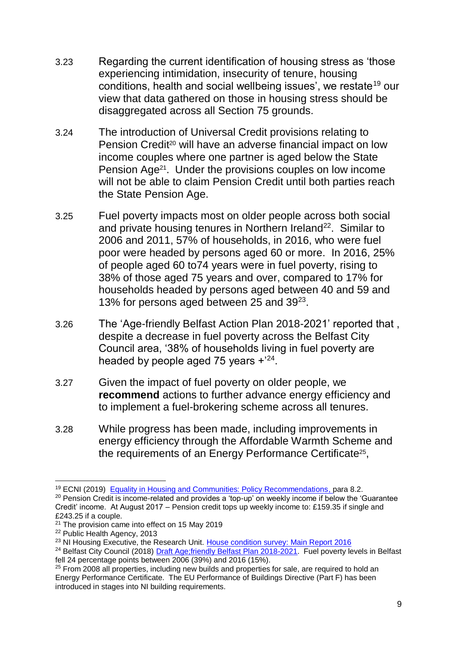- 3.23 Regarding the current identification of housing stress as 'those experiencing intimidation, insecurity of tenure, housing conditions, health and social wellbeing issues', we restate<sup>19</sup> our view that data gathered on those in housing stress should be disaggregated across all Section 75 grounds.
- 3.24 The introduction of Universal Credit provisions relating to Pension Credit<sup>20</sup> will have an adverse financial impact on low income couples where one partner is aged below the State Pension Age21. Under the provisions couples on low income will not be able to claim Pension Credit until both parties reach the State Pension Age.
- 3.25 Fuel poverty impacts most on older people across both social and private housing tenures in Northern Ireland<sup>22</sup>. Similar to 2006 and 2011, 57% of households, in 2016, who were fuel poor were headed by persons aged 60 or more. In 2016, 25% of people aged 60 to74 years were in fuel poverty, rising to 38% of those aged 75 years and over, compared to 17% for households headed by persons aged between 40 and 59 and 13% for persons aged between 25 and 39<sup>23</sup>.
- 3.26 The 'Age-friendly Belfast Action Plan 2018-2021' reported that , despite a decrease in fuel poverty across the Belfast City Council area, '38% of households living in fuel poverty are headed by people aged 75 years  $+{}^{24}$ .
- 3.27 Given the impact of fuel poverty on older people, we **recommend** actions to further advance energy efficiency and to implement a fuel-brokering scheme across all tenures.
- 3.28 While progress has been made, including improvements in energy efficiency through the Affordable Warmth Scheme and the requirements of an Energy Performance Certificate<sup>25</sup>,

<sup>&</sup>lt;sup>19</sup> ECNI (2019) [Equality in Housing and Communities: Policy Recommendations,](https://www.equalityni.org/ECNI/media/ECNI/Publications/Delivering%20Equality/HousingPolicyPositions-Full.pdf) para 8.2.

<sup>&</sup>lt;sup>20</sup> Pension Credit is income-related and provides a 'top-up' on weekly income if below the 'Guarantee Credit' income. At August 2017 – Pension credit tops up weekly income to: £159.35 if single and £243.25 if a couple.

 $21$  The provision came into effect on 15 May 2019

<sup>22</sup> Public Health Agency, 2013

<sup>&</sup>lt;sup>23</sup> NI Housing Executive, the Research Unit. [House condition survey: Main Report 2016](https://www.google.com/url?q=https://www.nihe.gov.uk/house_condition_survey_main_report_2016.pdf&sa=U&ved=0ahUKEwi8i7CQhvDfAhVSSBUIHR7VAgcQFggGMAE&client=internal-uds-cse&cx=012947760749428465831:ypiphh_nolg&usg=AOvVaw1R5tcQr1Rgy_B3TJhKpBuq)

<sup>&</sup>lt;sup>24</sup> Belfast City Council (2018) [Draft Age;friendly Belfast Plan 2018-2021.](http://www.makinglifebettertogether.com/wp-content/uploads/2018/07/Draft-Age-friendly-Belfast-plan-2018-21.pdf) Fuel poverty levels in Belfast fell 24 percentage points between 2006 (39%) and 2016 (15%).

<sup>&</sup>lt;sup>25</sup> From 2008 all properties, including new builds and properties for sale, are required to hold an Energy Performance Certificate. The EU Performance of Buildings Directive (Part F) has been introduced in stages into NI building requirements.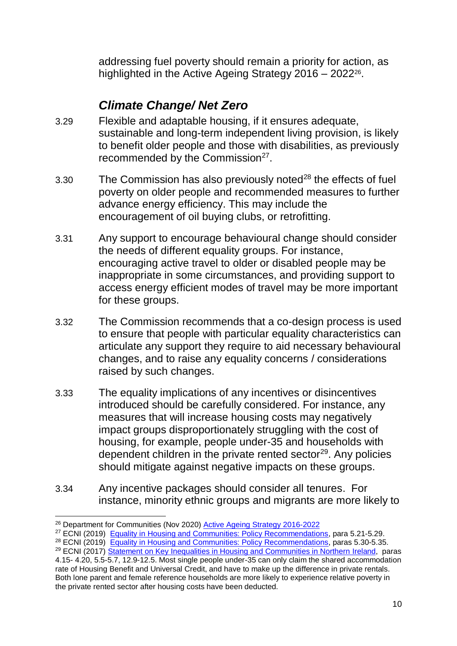addressing fuel poverty should remain a priority for action, as highlighted in the Active Ageing Strategy 2016 – 2022<sup>26</sup>.

### *Climate Change/ Net Zero*

- 3.29 Flexible and adaptable housing, if it ensures adequate, sustainable and long-term independent living provision, is likely to benefit older people and those with disabilities, as previously recommended by the Commission $27$ .
- 3.30 The Commission has also previously noted<sup>28</sup> the effects of fuel poverty on older people and recommended measures to further advance energy efficiency. This may include the encouragement of oil buying clubs, or retrofitting.
- 3.31 Any support to encourage behavioural change should consider the needs of different equality groups. For instance, encouraging active travel to older or disabled people may be inappropriate in some circumstances, and providing support to access energy efficient modes of travel may be more important for these groups.
- 3.32 The Commission recommends that a co-design process is used to ensure that people with particular equality characteristics can articulate any support they require to aid necessary behavioural changes, and to raise any equality concerns / considerations raised by such changes.
- 3.33 The equality implications of any incentives or disincentives introduced should be carefully considered. For instance, any measures that will increase housing costs may negatively impact groups disproportionately struggling with the cost of housing, for example, people under-35 and households with dependent children in the private rented sector<sup>29</sup>. Any policies should mitigate against negative impacts on these groups.
- 3.34 Any incentive packages should consider all tenures. For instance, minority ethnic groups and migrants are more likely to

<sup>&</sup>lt;sup>26</sup> Department for Communities (Nov 2020) **Active Ageing Strategy 2016-2022** 

<sup>&</sup>lt;sup>27</sup> ECNI (2019) [Equality in Housing and Communities: Policy Recommendations,](https://www.equalityni.org/ECNI/media/ECNI/Publications/Delivering%20Equality/HousingPolicyPositions-Full.pdf) para 5.21-5.29.

<sup>&</sup>lt;sup>28</sup> ECNI (2019) [Equality in Housing and Communities: Policy Recommendations,](https://www.equalityni.org/ECNI/media/ECNI/Publications/Delivering%20Equality/HousingPolicyPositions-Full.pdf) paras 5.30-5.35.

<sup>&</sup>lt;sup>29</sup> ECNI (2017) [Statement on Key Inequalities in Housing and Communities in Northern Ireland,](https://www.equalityni.org/ECNI/media/ECNI/Publications/Delivering%20Equality/HousingCommunities-KeyInequalitiesStatement.pdf) paras 4.15- 4.20, 5.5-5.7, 12.9-12.5. Most single people under-35 can only claim the shared accommodation rate of Housing Benefit and Universal Credit, and have to make up the difference in private rentals. Both lone parent and female reference households are more likely to experience relative poverty in the private rented sector after housing costs have been deducted.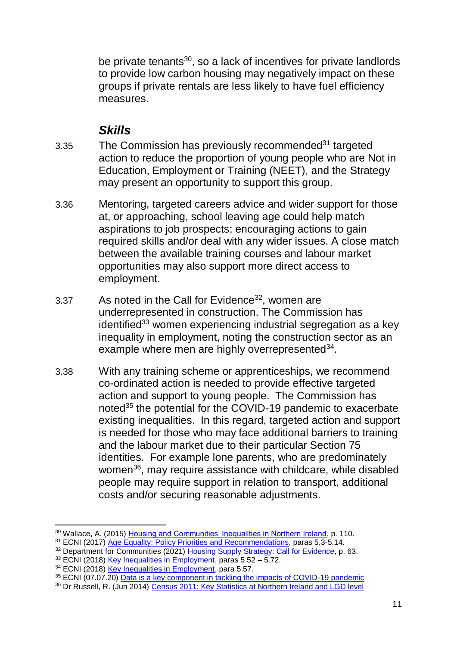be private tenants<sup>30</sup>, so a lack of incentives for private landlords to provide low carbon housing may negatively impact on these groups if private rentals are less likely to have fuel efficiency measures.

### *Skills*

- 3.35 The Commission has previously recommended<sup>31</sup> targeted action to reduce the proportion of young people who are Not in Education, Employment or Training (NEET), and the Strategy may present an opportunity to support this group.
- 3.36 Mentoring, targeted careers advice and wider support for those at, or approaching, school leaving age could help match aspirations to job prospects; encouraging actions to gain required skills and/or deal with any wider issues. A close match between the available training courses and labour market opportunities may also support more direct access to employment.
- 3.37 As noted in the Call for Evidence<sup>32</sup>, women are underrepresented in construction. The Commission has identified $33$  women experiencing industrial segregation as a key inequality in employment, noting the construction sector as an example where men are highly overrepresented<sup>34</sup>.
- 3.38 With any training scheme or apprenticeships, we recommend co-ordinated action is needed to provide effective targeted action and support to young people. The Commission has noted<sup>35</sup> the potential for the COVID-19 pandemic to exacerbate existing inequalities. In this regard, targeted action and support is needed for those who may face additional barriers to training and the labour market due to their particular Section 75 identities. For example lone parents, who are predominately women<sup>36</sup>, may require assistance with childcare, while disabled people may require support in relation to transport, additional costs and/or securing reasonable adjustments.

<sup>1</sup> <sup>30</sup> Wallace, A. (2015) [Housing and Communities' Inequalities in Northern Ireland,](https://www.equalityni.org/ECNI/media/ECNI/Publications/Delivering%20Equality/HousingInequalities-FullReport.pdf) p. 110.

<sup>&</sup>lt;sup>31</sup> ECNI (2017) [Age Equality: Policy Priorities and Recommendations,](https://www.equalityni.org/ECNI/media/ECNI/Publications/Delivering%20Equality/AgePolicyPriorities-Full.pdf) paras 5.3-5.14.

<sup>&</sup>lt;sup>32</sup> Department for Communities (2021) [Housing Supply Strategy: Call for Evidence,](https://www.communities-ni.gov.uk/consultations/consultation-new-housing-supply-strategy-call-evidence) p. 63.

<sup>&</sup>lt;sup>33</sup> ECNI (2018) [Key Inequalities in Employment,](https://www.equalityni.org/ECNI/media/ECNI/Publications/Delivering%20Equality/Employment-KeyInequalitiesStatement.pdf) paras 5.52 – 5.72.

<sup>&</sup>lt;sup>34</sup> ECNI (2018) [Key Inequalities in Employment,](https://www.equalityni.org/ECNI/media/ECNI/Publications/Delivering%20Equality/Employment-KeyInequalitiesStatement.pdf) para 5.57.

<sup>&</sup>lt;sup>35</sup> ECNI (07.07.20) [Data is a key component in tackling the impacts of COVID-19 pandemic](https://www.equalityni.org/Footer-Links/News/Delivering-Equality/Data-vital-in-tackling-impacts-of-COVID-19-pandemi)

<sup>36</sup> Dr Russell, R. (Jun 2014) [Census 2011: Key Statistics at Northern Ireland and LGD level](http://www.niassembly.gov.uk/globalassets/Documents/RaISe/Publications/2014/general/6014.pdf)